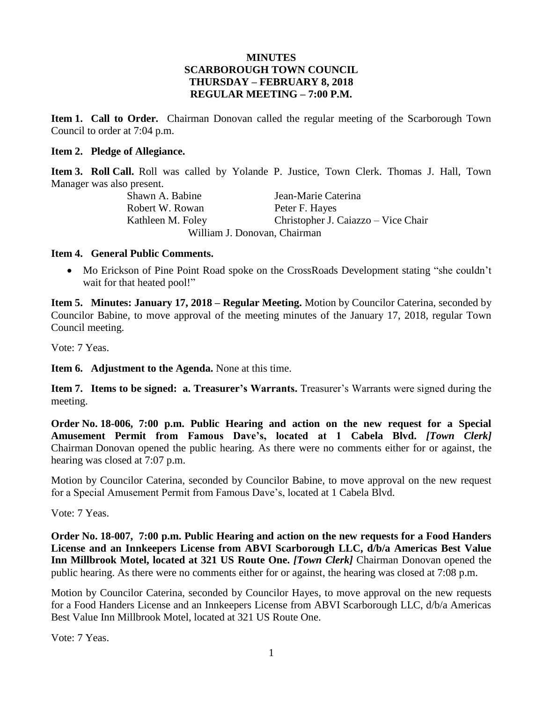## **MINUTES SCARBOROUGH TOWN COUNCIL THURSDAY – FEBRUARY 8, 2018 REGULAR MEETING – 7:00 P.M.**

**Item 1. Call to Order.** Chairman Donovan called the regular meeting of the Scarborough Town Council to order at 7:04 p.m.

### **Item 2. Pledge of Allegiance.**

**Item 3. Roll Call.** Roll was called by Yolande P. Justice, Town Clerk. Thomas J. Hall, Town Manager was also present.

Shawn A. Babine Jean-Marie Caterina Robert W. Rowan Peter F. Hayes Kathleen M. Foley Christopher J. Caiazzo – Vice Chair William J. Donovan, Chairman

## **Item 4. General Public Comments.**

• Mo Erickson of Pine Point Road spoke on the CrossRoads Development stating "she couldn't wait for that heated pool!"

**Item 5. Minutes: January 17, 2018 – Regular Meeting.** Motion by Councilor Caterina, seconded by Councilor Babine, to move approval of the meeting minutes of the January 17, 2018, regular Town Council meeting.

Vote: 7 Yeas.

**Item 6. Adjustment to the Agenda.** None at this time.

**Item 7. Items to be signed: a. Treasurer's Warrants.** Treasurer's Warrants were signed during the meeting.

**Order No. 18-006, 7:00 p.m. Public Hearing and action on the new request for a Special Amusement Permit from Famous Dave's, located at 1 Cabela Blvd.** *[Town Clerk]* Chairman Donovan opened the public hearing. As there were no comments either for or against, the hearing was closed at 7:07 p.m.

Motion by Councilor Caterina, seconded by Councilor Babine, to move approval on the new request for a Special Amusement Permit from Famous Dave's, located at 1 Cabela Blvd.

Vote: 7 Yeas.

**Order No. 18-007, 7:00 p.m. Public Hearing and action on the new requests for a Food Handers License and an Innkeepers License from ABVI Scarborough LLC, d/b/a Americas Best Value Inn Millbrook Motel, located at 321 US Route One.** *[Town Clerk]* Chairman Donovan opened the public hearing. As there were no comments either for or against, the hearing was closed at 7:08 p.m.

Motion by Councilor Caterina, seconded by Councilor Hayes, to move approval on the new requests for a Food Handers License and an Innkeepers License from ABVI Scarborough LLC, d/b/a Americas Best Value Inn Millbrook Motel, located at 321 US Route One.

Vote: 7 Yeas.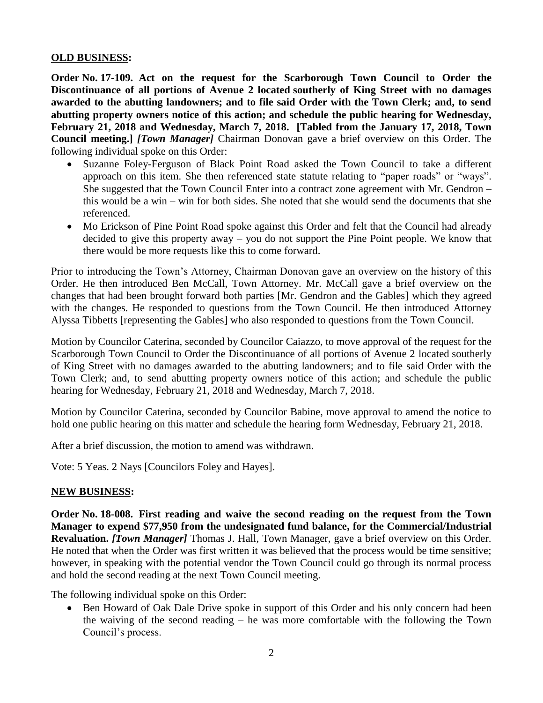## **OLD BUSINESS:**

**Order No. 17-109. Act on the request for the Scarborough Town Council to Order the Discontinuance of all portions of Avenue 2 located southerly of King Street with no damages awarded to the abutting landowners; and to file said Order with the Town Clerk; and, to send abutting property owners notice of this action; and schedule the public hearing for Wednesday, February 21, 2018 and Wednesday, March 7, 2018. [Tabled from the January 17, 2018, Town Council meeting.]** *[Town Manager]* Chairman Donovan gave a brief overview on this Order. The following individual spoke on this Order:

- Suzanne Foley-Ferguson of Black Point Road asked the Town Council to take a different approach on this item. She then referenced state statute relating to "paper roads" or "ways". She suggested that the Town Council Enter into a contract zone agreement with Mr. Gendron – this would be a win – win for both sides. She noted that she would send the documents that she referenced.
- Mo Erickson of Pine Point Road spoke against this Order and felt that the Council had already decided to give this property away – you do not support the Pine Point people. We know that there would be more requests like this to come forward.

Prior to introducing the Town's Attorney, Chairman Donovan gave an overview on the history of this Order. He then introduced Ben McCall, Town Attorney. Mr. McCall gave a brief overview on the changes that had been brought forward both parties [Mr. Gendron and the Gables] which they agreed with the changes. He responded to questions from the Town Council. He then introduced Attorney Alyssa Tibbetts [representing the Gables] who also responded to questions from the Town Council.

Motion by Councilor Caterina, seconded by Councilor Caiazzo, to move approval of the request for the Scarborough Town Council to Order the Discontinuance of all portions of Avenue 2 located southerly of King Street with no damages awarded to the abutting landowners; and to file said Order with the Town Clerk; and, to send abutting property owners notice of this action; and schedule the public hearing for Wednesday, February 21, 2018 and Wednesday, March 7, 2018.

Motion by Councilor Caterina, seconded by Councilor Babine, move approval to amend the notice to hold one public hearing on this matter and schedule the hearing form Wednesday, February 21, 2018.

After a brief discussion, the motion to amend was withdrawn.

Vote: 5 Yeas. 2 Nays [Councilors Foley and Hayes].

## **NEW BUSINESS:**

**Order No. 18-008. First reading and waive the second reading on the request from the Town Manager to expend \$77,950 from the undesignated fund balance, for the Commercial/Industrial Revaluation.** *[Town Manager]* Thomas J. Hall, Town Manager, gave a brief overview on this Order. He noted that when the Order was first written it was believed that the process would be time sensitive; however, in speaking with the potential vendor the Town Council could go through its normal process and hold the second reading at the next Town Council meeting.

The following individual spoke on this Order:

• Ben Howard of Oak Dale Drive spoke in support of this Order and his only concern had been the waiving of the second reading – he was more comfortable with the following the Town Council's process.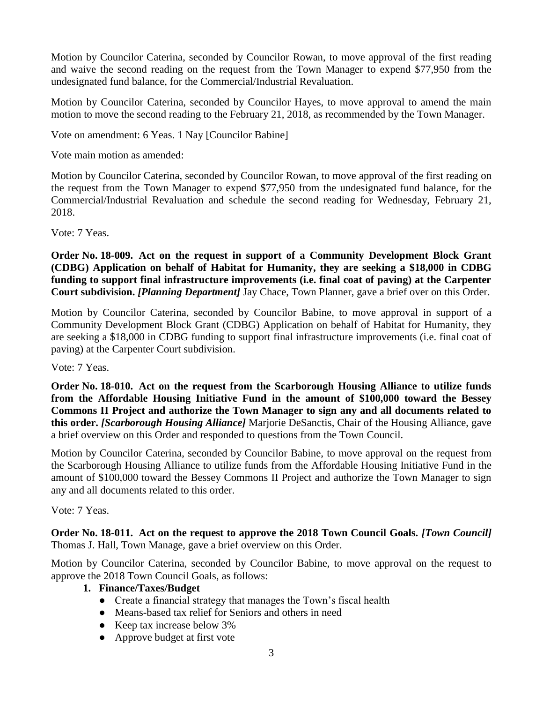Motion by Councilor Caterina, seconded by Councilor Rowan, to move approval of the first reading and waive the second reading on the request from the Town Manager to expend \$77,950 from the undesignated fund balance, for the Commercial/Industrial Revaluation.

Motion by Councilor Caterina, seconded by Councilor Hayes, to move approval to amend the main motion to move the second reading to the February 21, 2018, as recommended by the Town Manager.

Vote on amendment: 6 Yeas. 1 Nay [Councilor Babine]

Vote main motion as amended:

Motion by Councilor Caterina, seconded by Councilor Rowan, to move approval of the first reading on the request from the Town Manager to expend \$77,950 from the undesignated fund balance, for the Commercial/Industrial Revaluation and schedule the second reading for Wednesday, February 21, 2018.

Vote: 7 Yeas.

**Order No. 18-009. Act on the request in support of a Community Development Block Grant (CDBG) Application on behalf of Habitat for Humanity, they are seeking a \$18,000 in CDBG funding to support final infrastructure improvements (i.e. final coat of paving) at the Carpenter Court subdivision.** *[Planning Department]* Jay Chace, Town Planner, gave a brief over on this Order.

Motion by Councilor Caterina, seconded by Councilor Babine, to move approval in support of a Community Development Block Grant (CDBG) Application on behalf of Habitat for Humanity, they are seeking a \$18,000 in CDBG funding to support final infrastructure improvements (i.e. final coat of paving) at the Carpenter Court subdivision.

Vote: 7 Yeas.

**Order No. 18-010. Act on the request from the Scarborough Housing Alliance to utilize funds from the Affordable Housing Initiative Fund in the amount of \$100,000 toward the Bessey Commons II Project and authorize the Town Manager to sign any and all documents related to this order.** *[Scarborough Housing Alliance]* Marjorie DeSanctis, Chair of the Housing Alliance, gave a brief overview on this Order and responded to questions from the Town Council.

Motion by Councilor Caterina, seconded by Councilor Babine, to move approval on the request from the Scarborough Housing Alliance to utilize funds from the Affordable Housing Initiative Fund in the amount of \$100,000 toward the Bessey Commons II Project and authorize the Town Manager to sign any and all documents related to this order.

Vote: 7 Yeas.

**Order No. 18-011. Act on the request to approve the 2018 Town Council Goals.** *[Town Council]* Thomas J. Hall, Town Manage, gave a brief overview on this Order.

Motion by Councilor Caterina, seconded by Councilor Babine, to move approval on the request to approve the 2018 Town Council Goals, as follows:

# **1. Finance/Taxes/Budget**

- Create a financial strategy that manages the Town's fiscal health
- Means-based tax relief for Seniors and others in need
- Keep tax increase below 3%
- Approve budget at first vote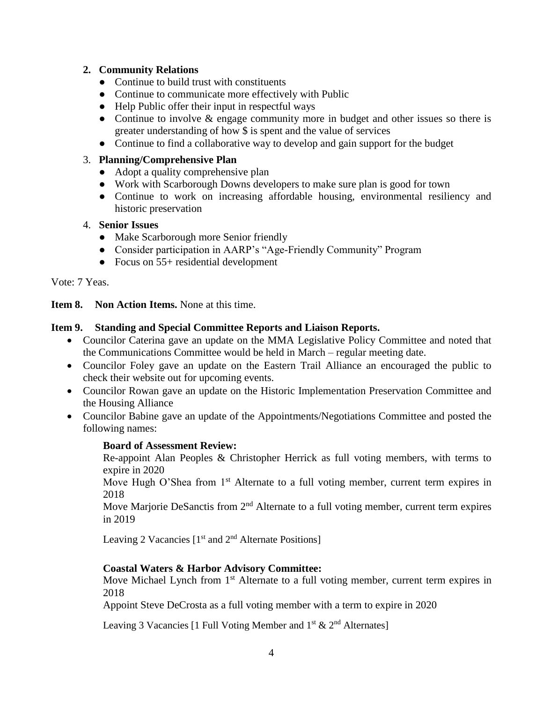# **2. Community Relations**

- Continue to build trust with constituents
- Continue to communicate more effectively with Public
- Help Public offer their input in respectful ways
- Continue to involve & engage community more in budget and other issues so there is greater understanding of how \$ is spent and the value of services
- Continue to find a collaborative way to develop and gain support for the budget

# 3. **Planning/Comprehensive Plan**

- Adopt a quality comprehensive plan
- Work with Scarborough Downs developers to make sure plan is good for town
- Continue to work on increasing affordable housing, environmental resiliency and historic preservation

## 4. **Senior Issues**

- Make Scarborough more Senior friendly
- Consider participation in AARP's "Age-Friendly Community" Program
- Focus on 55+ residential development

Vote: 7 Yeas.

**Item 8. Non Action Items.** None at this time.

# **Item 9. Standing and Special Committee Reports and Liaison Reports.**

- Councilor Caterina gave an update on the MMA Legislative Policy Committee and noted that the Communications Committee would be held in March – regular meeting date.
- Councilor Foley gave an update on the Eastern Trail Alliance an encouraged the public to check their website out for upcoming events.
- Councilor Rowan gave an update on the Historic Implementation Preservation Committee and the Housing Alliance
- Councilor Babine gave an update of the Appointments/Negotiations Committee and posted the following names:

## **Board of Assessment Review:**

Re-appoint Alan Peoples & Christopher Herrick as full voting members, with terms to expire in 2020

Move Hugh O'Shea from  $1<sup>st</sup>$  Alternate to a full voting member, current term expires in 2018

Move Marjorie DeSanctis from  $2<sup>nd</sup>$  Alternate to a full voting member, current term expires in 2019

Leaving 2 Vacancies  $[1<sup>st</sup>$  and  $2<sup>nd</sup>$  Alternate Positions]

# **Coastal Waters & Harbor Advisory Committee:**

Move Michael Lynch from  $1<sup>st</sup>$  Alternate to a full voting member, current term expires in 2018

Appoint Steve DeCrosta as a full voting member with a term to expire in 2020

Leaving 3 Vacancies [1 Full Voting Member and  $1^{st}$  &  $2^{nd}$  Alternates]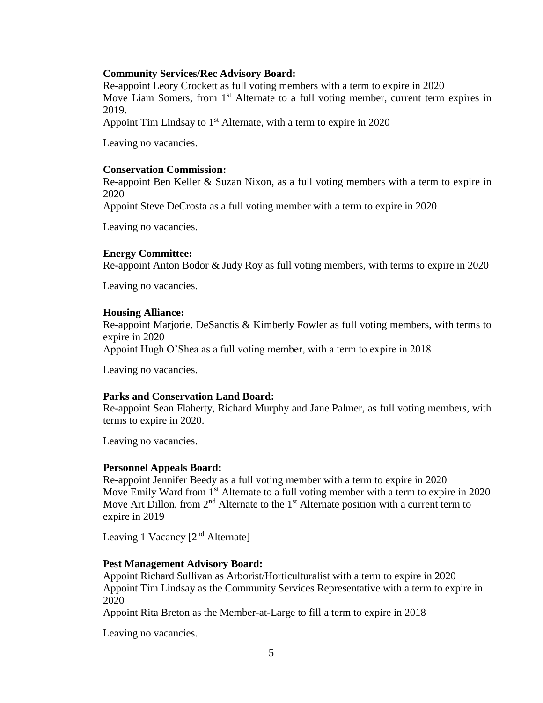### **Community Services/Rec Advisory Board:**

Re-appoint Leory Crockett as full voting members with a term to expire in 2020 Move Liam Somers, from 1<sup>st</sup> Alternate to a full voting member, current term expires in 2019.

Appoint Tim Lindsay to  $1<sup>st</sup>$  Alternate, with a term to expire in 2020

Leaving no vacancies.

#### **Conservation Commission:**

Re-appoint Ben Keller & Suzan Nixon, as a full voting members with a term to expire in 2020

Appoint Steve DeCrosta as a full voting member with a term to expire in 2020

Leaving no vacancies.

### **Energy Committee:**

Re-appoint Anton Bodor & Judy Roy as full voting members, with terms to expire in 2020

Leaving no vacancies.

### **Housing Alliance:**

Re-appoint Marjorie. DeSanctis & Kimberly Fowler as full voting members, with terms to expire in 2020

Appoint Hugh O'Shea as a full voting member, with a term to expire in 2018

Leaving no vacancies.

### **Parks and Conservation Land Board:**

Re-appoint Sean Flaherty, Richard Murphy and Jane Palmer, as full voting members, with terms to expire in 2020.

Leaving no vacancies.

### **Personnel Appeals Board:**

Re-appoint Jennifer Beedy as a full voting member with a term to expire in 2020 Move Emily Ward from 1<sup>st</sup> Alternate to a full voting member with a term to expire in 2020 Move Art Dillon, from  $2<sup>nd</sup>$  Alternate to the  $1<sup>st</sup>$  Alternate position with a current term to expire in 2019

Leaving 1 Vacancy  $[2^{nd}$  Alternate]

### **Pest Management Advisory Board:**

Appoint Richard Sullivan as Arborist/Horticulturalist with a term to expire in 2020 Appoint Tim Lindsay as the Community Services Representative with a term to expire in 2020

Appoint Rita Breton as the Member-at-Large to fill a term to expire in 2018

Leaving no vacancies.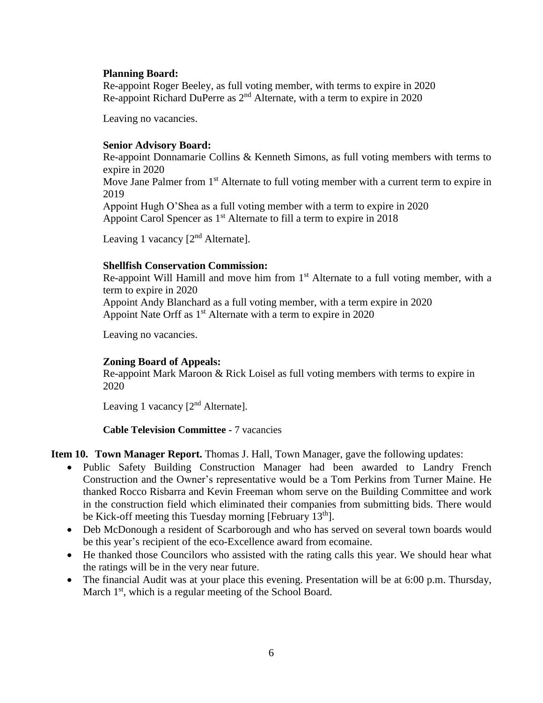## **Planning Board:**

Re-appoint Roger Beeley, as full voting member, with terms to expire in 2020 Re-appoint Richard DuPerre as 2nd Alternate, with a term to expire in 2020

Leaving no vacancies.

# **Senior Advisory Board:**

Re-appoint Donnamarie Collins & Kenneth Simons, as full voting members with terms to expire in 2020

Move Jane Palmer from 1<sup>st</sup> Alternate to full voting member with a current term to expire in 2019

Appoint Hugh O'Shea as a full voting member with a term to expire in 2020 Appoint Carol Spencer as 1<sup>st</sup> Alternate to fill a term to expire in 2018

Leaving 1 vacancy  $[2<sup>nd</sup>$  Alternate].

# **Shellfish Conservation Commission:**

Re-appoint Will Hamill and move him from  $1<sup>st</sup>$  Alternate to a full voting member, with a term to expire in 2020 Appoint Andy Blanchard as a full voting member, with a term expire in 2020 Appoint Nate Orff as 1<sup>st</sup> Alternate with a term to expire in 2020

Leaving no vacancies.

# **Zoning Board of Appeals:**

Re-appoint Mark Maroon & Rick Loisel as full voting members with terms to expire in 2020

Leaving 1 vacancy  $[2^{nd}$  Alternate].

**Cable Television Committee -** 7 vacancies

**Item 10. Town Manager Report.** Thomas J. Hall, Town Manager, gave the following updates:

- Public Safety Building Construction Manager had been awarded to Landry French Construction and the Owner's representative would be a Tom Perkins from Turner Maine. He thanked Rocco Risbarra and Kevin Freeman whom serve on the Building Committee and work in the construction field which eliminated their companies from submitting bids. There would be Kick-off meeting this Tuesday morning [February  $13<sup>th</sup>$ ].
- Deb McDonough a resident of Scarborough and who has served on several town boards would be this year's recipient of the eco-Excellence award from ecomaine.
- He thanked those Councilors who assisted with the rating calls this year. We should hear what the ratings will be in the very near future.
- The financial Audit was at your place this evening. Presentation will be at 6:00 p.m. Thursday, March 1<sup>st</sup>, which is a regular meeting of the School Board.